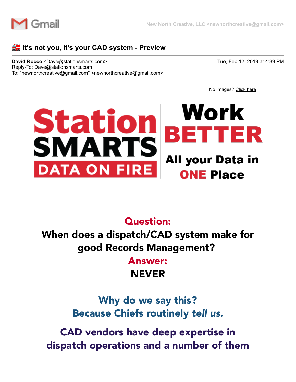

#### **Example:** It's not you, it's your CAD system - Preview

**David Rocco** <Dave@stationsmarts.com> Tue, Feb 12, 2019 at 4:39 PM Reply-To: Dave@stationsmarts.com To: "newnorthcreative@gmail.com" <newnorthcreative@gmail.com>

No Images? [Click here](https://stationsmarts.cmail20.com/t/j-e-xtjiux-l-i/)

### Work Station TTER **SMARTS All your Data in DATA ON ONE Place**

#### Question:

When does a dispatch/CAD system make for good Records Management?

> Answer: NEVER

Why do we say this? Because Chiefs routinely *tell us.*

CAD vendors have deep expertise in dispatch operations and a number of them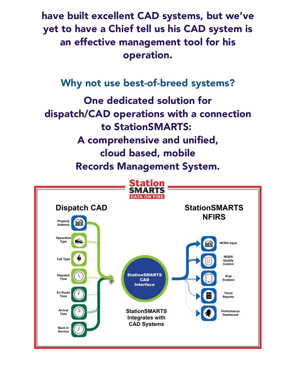have built excellent CAD systems, but we've yet to have a Chief tell us his CAD system is an effective management tool for his operation.

### Why not use best-of-breed systems?

One dedicated solution for dispatch/CAD operations with a connection to StationSMARTS: A comprehensive and unified, cloud based, mobile Records Management System.

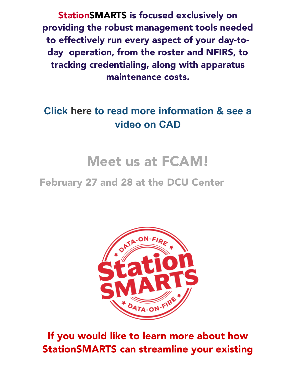StationSMARTS is focused exclusively on providing the robust management tools needed to effectively run every aspect of your day-today operation, from the roster and NFIRS, to tracking credentialing, along with apparatus maintenance costs.

# **[Click here to read mor](https://stationsmarts.cmail20.com/t/j-i-xtjiux-l-r/)[e](https://stationsmarts.cmail20.com/t/j-i-xtjiux-l-j/) [informatio](https://stationsmarts.cmail20.com/t/j-i-xtjiux-l-y/)[n & see a](https://stationsmarts.cmail20.com/t/j-i-xtjiux-l-j/) video on [CAD](https://stationsmarts.cmail20.com/t/j-i-xtjiux-l-t/)**

# Meet us at FCAM!

# February 27 and 28 at the DCU Center



If you would like to learn more about how StationSMARTS can streamline your existing